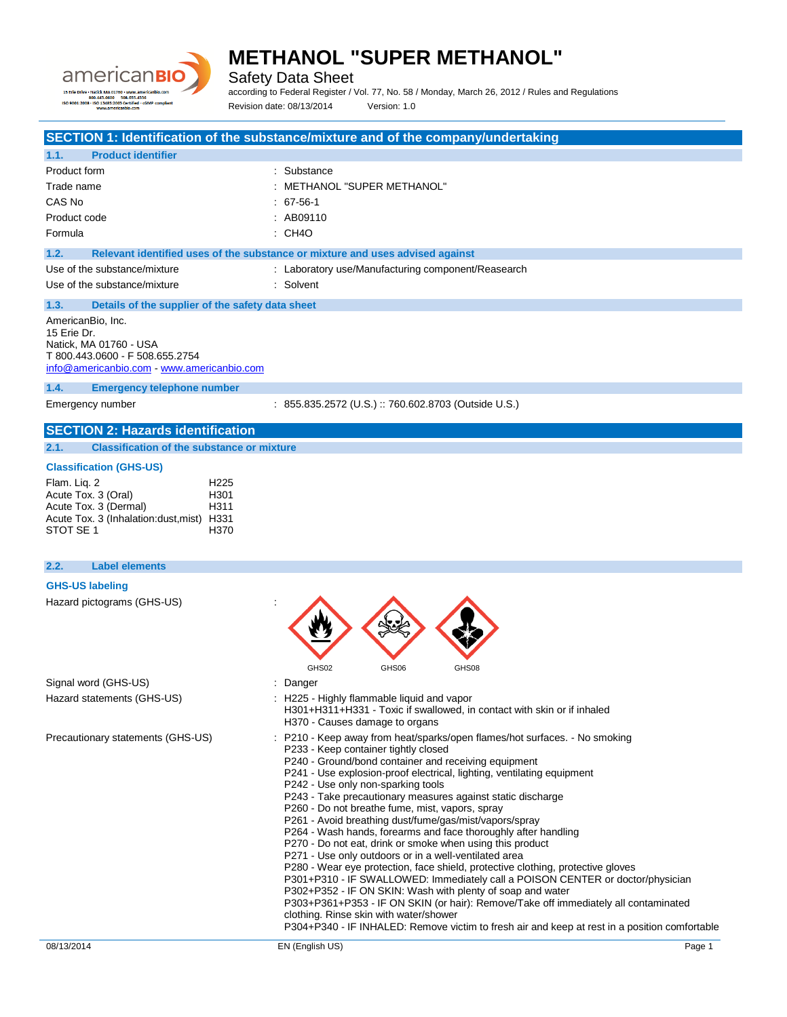

Safety Data Sheet

according to Federal Register / Vol. 77, No. 58 / Monday, March 26, 2012 / Rules and Regulations Revision date: 08/13/2014 Version: 1.0

|                                                                                                                                                                                                                                                                   | SECTION 1: Identification of the substance/mixture and of the company/undertaking                                                                                                                                                                  |
|-------------------------------------------------------------------------------------------------------------------------------------------------------------------------------------------------------------------------------------------------------------------|----------------------------------------------------------------------------------------------------------------------------------------------------------------------------------------------------------------------------------------------------|
| 1.1.<br><b>Product identifier</b>                                                                                                                                                                                                                                 |                                                                                                                                                                                                                                                    |
| Product form                                                                                                                                                                                                                                                      | : Substance                                                                                                                                                                                                                                        |
| Trade name                                                                                                                                                                                                                                                        | METHANOL "SUPER METHANOL"                                                                                                                                                                                                                          |
| CAS No                                                                                                                                                                                                                                                            | $: 67-56-1$                                                                                                                                                                                                                                        |
| Product code                                                                                                                                                                                                                                                      | : AB09110                                                                                                                                                                                                                                          |
| Formula                                                                                                                                                                                                                                                           | : CH4O                                                                                                                                                                                                                                             |
| 1.2.                                                                                                                                                                                                                                                              | Relevant identified uses of the substance or mixture and uses advised against                                                                                                                                                                      |
| Use of the substance/mixture                                                                                                                                                                                                                                      | : Laboratory use/Manufacturing component/Reasearch                                                                                                                                                                                                 |
| Use of the substance/mixture                                                                                                                                                                                                                                      | : Solvent                                                                                                                                                                                                                                          |
| 1.3.<br>Details of the supplier of the safety data sheet                                                                                                                                                                                                          |                                                                                                                                                                                                                                                    |
| AmericanBio, Inc.<br>15 Erie Dr.<br>Natick, MA 01760 - USA<br>T 800.443.0600 - F 508.655.2754<br>info@americanbio.com - www.americanbio.com                                                                                                                       |                                                                                                                                                                                                                                                    |
| 1.4.<br><b>Emergency telephone number</b>                                                                                                                                                                                                                         |                                                                                                                                                                                                                                                    |
| Emergency number                                                                                                                                                                                                                                                  | : 855.835.2572 (U.S.) :: 760.602.8703 (Outside U.S.)                                                                                                                                                                                               |
| 2.1.<br><b>Classification of the substance or mixture</b><br><b>Classification (GHS-US)</b><br>Flam. Liq. 2<br>H <sub>225</sub><br>Acute Tox. 3 (Oral)<br>H301<br>Acute Tox. 3 (Dermal)<br>H311<br>Acute Tox. 3 (Inhalation:dust, mist) H331<br>STOT SE 1<br>H370 |                                                                                                                                                                                                                                                    |
| 2.2.<br><b>Label elements</b>                                                                                                                                                                                                                                     |                                                                                                                                                                                                                                                    |
| <b>GHS-US labeling</b><br>Hazard pictograms (GHS-US)                                                                                                                                                                                                              |                                                                                                                                                                                                                                                    |
| Signal word (GHS-US)                                                                                                                                                                                                                                              | GHS02<br>GHS06<br>GHS08<br>$:$ Danger                                                                                                                                                                                                              |
| Hazard statements (GHS-US)                                                                                                                                                                                                                                        | : H225 - Highly flammable liquid and vapor<br>H301+H311+H331 - Toxic if swallowed, in contact with skin or if inhaled<br>H370 - Causes damage to organs                                                                                            |
| Precautionary statements (GHS-US)                                                                                                                                                                                                                                 | P210 - Keep away from heat/sparks/open flames/hot surfaces. - No smoking<br>P233 - Keep container tightly closed<br>P240 - Ground/bond container and receiving equipment<br>P241 - Use explosion-proof electrical, lighting, ventilating equipment |

- P242 Use only non-sparking tools
- P243 Take precautionary measures against static discharge
- P260 Do not breathe fume, mist, vapors, spray
- P261 Avoid breathing dust/fume/gas/mist/vapors/spray
- P264 Wash hands, forearms and face thoroughly after handling
- P270 Do not eat, drink or smoke when using this product
- P271 Use only outdoors or in a well-ventilated area
- P280 Wear eye protection, face shield, protective clothing, protective gloves
- P301+P310 IF SWALLOWED: Immediately call a POISON CENTER or doctor/physician
- P302+P352 IF ON SKIN: Wash with plenty of soap and water
- P303+P361+P353 IF ON SKIN (or hair): Remove/Take off immediately all contaminated clothing. Rinse skin with water/shower
- P304+P340 IF INHALED: Remove victim to fresh air and keep at rest in a position comfortable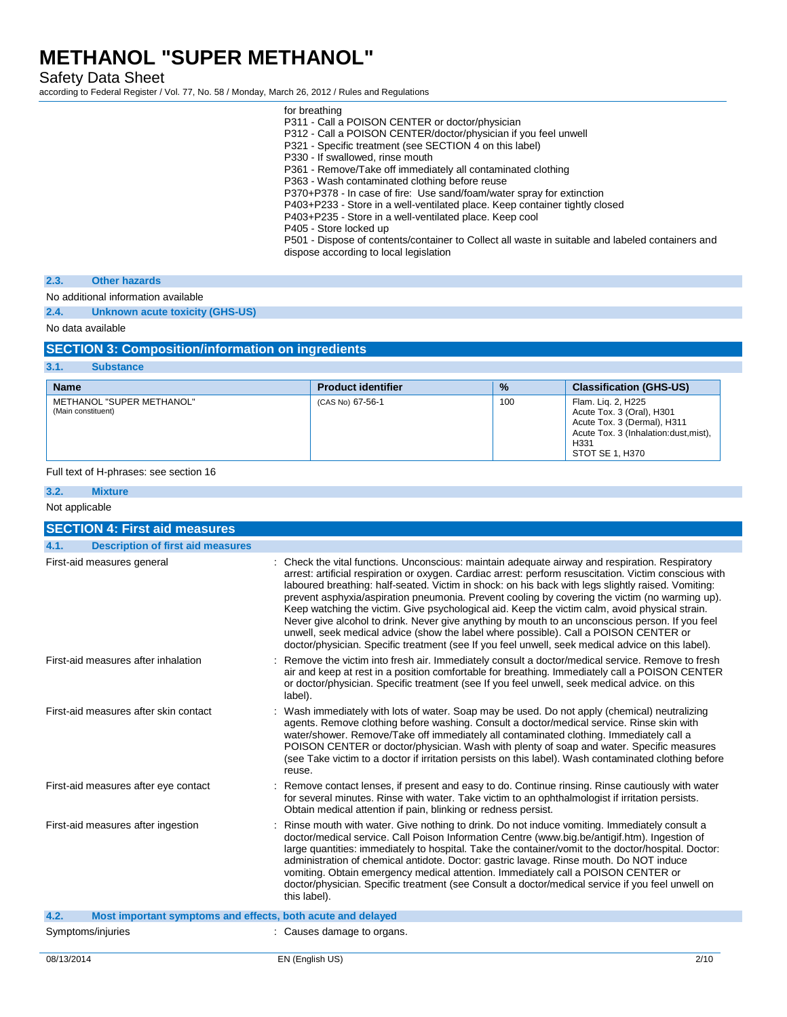Safety Data Sheet

according to Federal Register / Vol. 77, No. 58 / Monday, March 26, 2012 / Rules and Regulations

| for breathing                                                                                                                              |
|--------------------------------------------------------------------------------------------------------------------------------------------|
| P311 - Call a POISON CENTER or doctor/physician                                                                                            |
| P312 - Call a POISON CENTER/doctor/physician if you feel unwell                                                                            |
| P321 - Specific treatment (see SECTION 4 on this label)                                                                                    |
| P330 - If swallowed, rinse mouth                                                                                                           |
| P361 - Remove/Take off immediately all contaminated clothing                                                                               |
| P363 - Wash contaminated clothing before reuse                                                                                             |
| P370+P378 - In case of fire: Use sand/foam/water spray for extinction                                                                      |
| P403+P233 - Store in a well-ventilated place. Keep container tightly closed                                                                |
| P403+P235 - Store in a well-ventilated place. Keep cool                                                                                    |
| P405 - Store locked up                                                                                                                     |
| P501 - Dispose of contents/container to Collect all waste in suitable and labeled containers and<br>dispose according to local legislation |
|                                                                                                                                            |

#### **2.3. Other hazards**

No additional information available

**2.4. Unknown acute toxicity (GHS-US)**

No data available

### **SECTION 3: Composition/information on ingredients**

| 3.1.<br><b>Substance</b>                        |                           |               |                                                                                                                                                                 |
|-------------------------------------------------|---------------------------|---------------|-----------------------------------------------------------------------------------------------------------------------------------------------------------------|
| <b>Name</b>                                     | <b>Product identifier</b> | $\frac{9}{6}$ | <b>Classification (GHS-US)</b>                                                                                                                                  |
| METHANOL "SUPER METHANOL"<br>(Main constituent) | (CAS No) 67-56-1          | 100           | Flam. Lig. 2, H225<br>Acute Tox. 3 (Oral), H301<br>Acute Tox. 3 (Dermal), H311<br>Acute Tox. 3 (Inhalation: dust, mist),<br>H <sub>331</sub><br>STOT SE 1, H370 |

### Full text of H-phrases: see section 16

| 3.2.<br><b>Mixture</b>                                              |                                                                                                                                                                                                                                                                                                                                                                                                                                                                                                                                                                                                                                                                                                                                                                                                                     |
|---------------------------------------------------------------------|---------------------------------------------------------------------------------------------------------------------------------------------------------------------------------------------------------------------------------------------------------------------------------------------------------------------------------------------------------------------------------------------------------------------------------------------------------------------------------------------------------------------------------------------------------------------------------------------------------------------------------------------------------------------------------------------------------------------------------------------------------------------------------------------------------------------|
| Not applicable                                                      |                                                                                                                                                                                                                                                                                                                                                                                                                                                                                                                                                                                                                                                                                                                                                                                                                     |
| <b>SECTION 4: First aid measures</b>                                |                                                                                                                                                                                                                                                                                                                                                                                                                                                                                                                                                                                                                                                                                                                                                                                                                     |
| 4.1.<br><b>Description of first aid measures</b>                    |                                                                                                                                                                                                                                                                                                                                                                                                                                                                                                                                                                                                                                                                                                                                                                                                                     |
| First-aid measures general                                          | : Check the vital functions. Unconscious: maintain adequate airway and respiration. Respiratory<br>arrest: artificial respiration or oxygen. Cardiac arrest: perform resuscitation. Victim conscious with<br>laboured breathing: half-seated. Victim in shock: on his back with legs slightly raised. Vomiting:<br>prevent asphyxia/aspiration pneumonia. Prevent cooling by covering the victim (no warming up).<br>Keep watching the victim. Give psychological aid. Keep the victim calm, avoid physical strain.<br>Never give alcohol to drink. Never give anything by mouth to an unconscious person. If you feel<br>unwell, seek medical advice (show the label where possible). Call a POISON CENTER or<br>doctor/physician. Specific treatment (see If you feel unwell, seek medical advice on this label). |
| First-aid measures after inhalation                                 | Remove the victim into fresh air. Immediately consult a doctor/medical service. Remove to fresh<br>air and keep at rest in a position comfortable for breathing. Immediately call a POISON CENTER<br>or doctor/physician. Specific treatment (see If you feel unwell, seek medical advice. on this<br>label).                                                                                                                                                                                                                                                                                                                                                                                                                                                                                                       |
| First-aid measures after skin contact                               | : Wash immediately with lots of water. Soap may be used. Do not apply (chemical) neutralizing<br>agents. Remove clothing before washing. Consult a doctor/medical service. Rinse skin with<br>water/shower. Remove/Take off immediately all contaminated clothing. Immediately call a<br>POISON CENTER or doctor/physician. Wash with plenty of soap and water. Specific measures<br>(see Take victim to a doctor if irritation persists on this label). Wash contaminated clothing before<br>reuse.                                                                                                                                                                                                                                                                                                                |
| First-aid measures after eye contact                                | Remove contact lenses, if present and easy to do. Continue rinsing. Rinse cautiously with water<br>for several minutes. Rinse with water. Take victim to an ophthalmologist if irritation persists.<br>Obtain medical attention if pain, blinking or redness persist.                                                                                                                                                                                                                                                                                                                                                                                                                                                                                                                                               |
| First-aid measures after ingestion                                  | Rinse mouth with water. Give nothing to drink. Do not induce vomiting. Immediately consult a<br>doctor/medical service. Call Poison Information Centre (www.big.be/antigif.htm). Ingestion of<br>large quantities: immediately to hospital. Take the container/vomit to the doctor/hospital. Doctor:<br>administration of chemical antidote. Doctor: gastric lavage. Rinse mouth. Do NOT induce<br>vomiting. Obtain emergency medical attention. Immediately call a POISON CENTER or<br>doctor/physician. Specific treatment (see Consult a doctor/medical service if you feel unwell on<br>this label).                                                                                                                                                                                                            |
| 4.2.<br>Most important symptoms and effects, both acute and delayed |                                                                                                                                                                                                                                                                                                                                                                                                                                                                                                                                                                                                                                                                                                                                                                                                                     |
| Symptoms/injuries                                                   | Causes damage to organs.                                                                                                                                                                                                                                                                                                                                                                                                                                                                                                                                                                                                                                                                                                                                                                                            |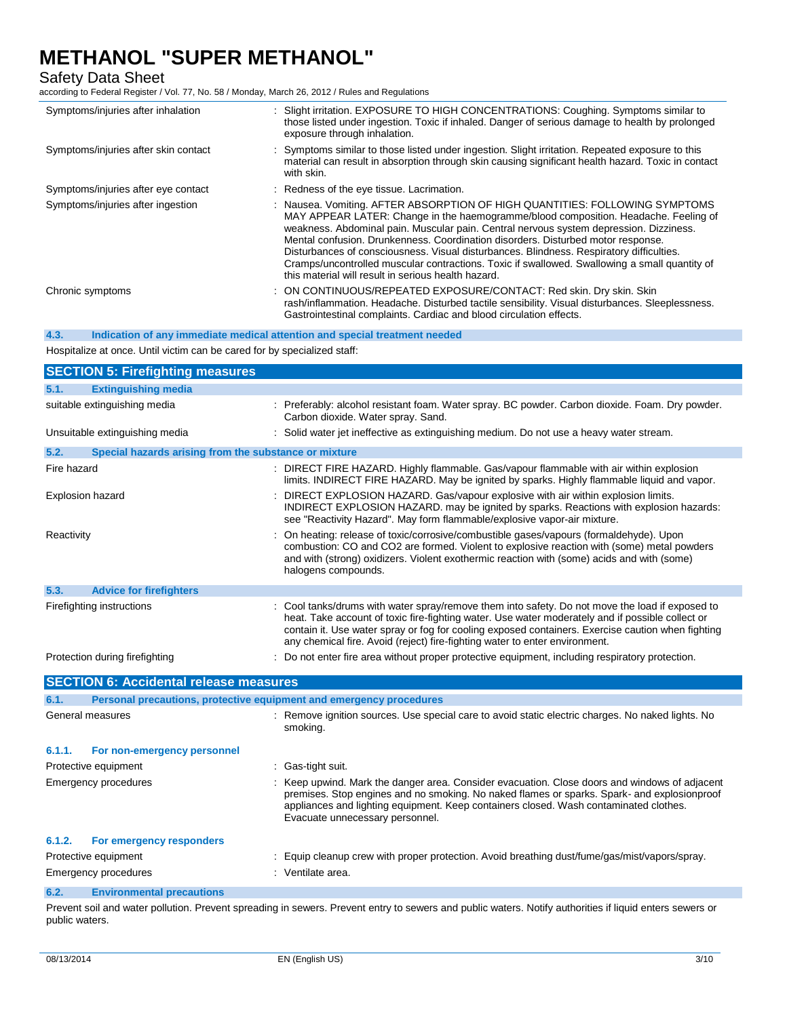## Safety Data Sheet

according to Federal Register / Vol. 77, No. 58 / Monday, March 26, 2012 / Rules and Regulations

| Symptoms/injuries after inhalation   | : Slight irritation. EXPOSURE TO HIGH CONCENTRATIONS: Coughing. Symptoms similar to<br>those listed under ingestion. Toxic if inhaled. Danger of serious damage to health by prolonged<br>exposure through inhalation.                                                                                                                                                                                                                                                                                                                                                                               |
|--------------------------------------|------------------------------------------------------------------------------------------------------------------------------------------------------------------------------------------------------------------------------------------------------------------------------------------------------------------------------------------------------------------------------------------------------------------------------------------------------------------------------------------------------------------------------------------------------------------------------------------------------|
| Symptoms/injuries after skin contact | : Symptoms similar to those listed under ingestion. Slight irritation. Repeated exposure to this<br>material can result in absorption through skin causing significant health hazard. Toxic in contact<br>with skin.                                                                                                                                                                                                                                                                                                                                                                                 |
| Symptoms/injuries after eye contact  | : Redness of the eye tissue. Lacrimation.                                                                                                                                                                                                                                                                                                                                                                                                                                                                                                                                                            |
| Symptoms/injuries after ingestion    | : Nausea. Vomiting. AFTER ABSORPTION OF HIGH QUANTITIES: FOLLOWING SYMPTOMS<br>MAY APPEAR LATER: Change in the haemogramme/blood composition. Headache. Feeling of<br>weakness. Abdominal pain. Muscular pain. Central nervous system depression. Dizziness.<br>Mental confusion. Drunkenness. Coordination disorders. Disturbed motor response.<br>Disturbances of consciousness. Visual disturbances. Blindness. Respiratory difficulties.<br>Cramps/uncontrolled muscular contractions. Toxic if swallowed. Swallowing a small quantity of<br>this material will result in serious health hazard. |
| Chronic symptoms                     | : ON CONTINUOUS/REPEATED EXPOSURE/CONTACT: Red skin. Dry skin. Skin<br>rash/inflammation. Headache. Disturbed tactile sensibility. Visual disturbances. Sleeplessness.<br>Gastrointestinal complaints. Cardiac and blood circulation effects.                                                                                                                                                                                                                                                                                                                                                        |

**4.3. Indication of any immediate medical attention and special treatment needed**

Hospitalize at once. Until victim can be cared for by specialized staff:

|                      | <b>SECTION 5: Firefighting measures</b>                             |                                                                                                                                                                                                                                                                                                                                                                                         |
|----------------------|---------------------------------------------------------------------|-----------------------------------------------------------------------------------------------------------------------------------------------------------------------------------------------------------------------------------------------------------------------------------------------------------------------------------------------------------------------------------------|
| 5.1.                 | <b>Extinguishing media</b>                                          |                                                                                                                                                                                                                                                                                                                                                                                         |
|                      | suitable extinguishing media                                        | : Preferably: alcohol resistant foam. Water spray. BC powder. Carbon dioxide. Foam. Dry powder.<br>Carbon dioxide. Water spray. Sand.                                                                                                                                                                                                                                                   |
|                      | Unsuitable extinguishing media                                      | : Solid water jet ineffective as extinguishing medium. Do not use a heavy water stream.                                                                                                                                                                                                                                                                                                 |
| 5.2.                 | Special hazards arising from the substance or mixture               |                                                                                                                                                                                                                                                                                                                                                                                         |
| Fire hazard          |                                                                     | : DIRECT FIRE HAZARD. Highly flammable. Gas/vapour flammable with air within explosion<br>limits. INDIRECT FIRE HAZARD. May be ignited by sparks. Highly flammable liquid and vapor.                                                                                                                                                                                                    |
|                      | <b>Explosion hazard</b>                                             | DIRECT EXPLOSION HAZARD. Gas/vapour explosive with air within explosion limits.<br>INDIRECT EXPLOSION HAZARD. may be ignited by sparks. Reactions with explosion hazards:<br>see "Reactivity Hazard". May form flammable/explosive vapor-air mixture.                                                                                                                                   |
| Reactivity           |                                                                     | On heating: release of toxic/corrosive/combustible gases/vapours (formaldehyde). Upon<br>combustion: CO and CO2 are formed. Violent to explosive reaction with (some) metal powders<br>and with (strong) oxidizers. Violent exothermic reaction with (some) acids and with (some)<br>halogens compounds.                                                                                |
| 5.3.                 | <b>Advice for firefighters</b>                                      |                                                                                                                                                                                                                                                                                                                                                                                         |
|                      | Firefighting instructions                                           | : Cool tanks/drums with water spray/remove them into safety. Do not move the load if exposed to<br>heat. Take account of toxic fire-fighting water. Use water moderately and if possible collect or<br>contain it. Use water spray or fog for cooling exposed containers. Exercise caution when fighting<br>any chemical fire. Avoid (reject) fire-fighting water to enter environment. |
|                      | Protection during firefighting                                      | Do not enter fire area without proper protective equipment, including respiratory protection.                                                                                                                                                                                                                                                                                           |
|                      | <b>SECTION 6: Accidental release measures</b>                       |                                                                                                                                                                                                                                                                                                                                                                                         |
| 6.1.                 | Personal precautions, protective equipment and emergency procedures |                                                                                                                                                                                                                                                                                                                                                                                         |
|                      | General measures                                                    | : Remove ignition sources. Use special care to avoid static electric charges. No naked lights. No<br>smoking.                                                                                                                                                                                                                                                                           |
| 6.1.1.               | For non-emergency personnel                                         |                                                                                                                                                                                                                                                                                                                                                                                         |
|                      | Protective equipment                                                | : Gas-tight suit.                                                                                                                                                                                                                                                                                                                                                                       |
|                      | <b>Emergency procedures</b>                                         | Keep upwind. Mark the danger area. Consider evacuation. Close doors and windows of adjacent<br>premises. Stop engines and no smoking. No naked flames or sparks. Spark- and explosionproof<br>appliances and lighting equipment. Keep containers closed. Wash contaminated clothes.<br>Evacuate unnecessary personnel.                                                                  |
| 6.1.2.               | For emergency responders                                            |                                                                                                                                                                                                                                                                                                                                                                                         |
| Protective equipment |                                                                     | Equip cleanup crew with proper protection. Avoid breathing dust/fume/gas/mist/vapors/spray.                                                                                                                                                                                                                                                                                             |
|                      | <b>Emergency procedures</b>                                         | : Ventilate area.                                                                                                                                                                                                                                                                                                                                                                       |
| 6.2.                 | <b>Environmental precautions</b>                                    |                                                                                                                                                                                                                                                                                                                                                                                         |

Prevent soil and water pollution. Prevent spreading in sewers. Prevent entry to sewers and public waters. Notify authorities if liquid enters sewers or public waters.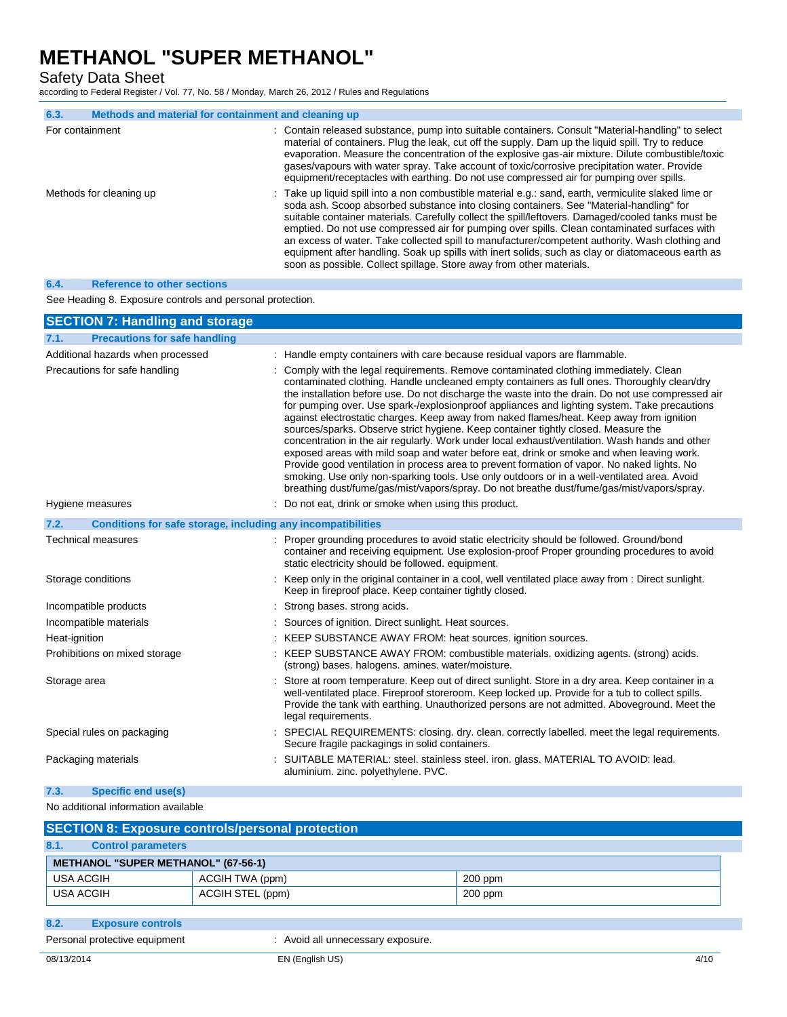Safety Data Sheet

according to Federal Register / Vol. 77, No. 58 / Monday, March 26, 2012 / Rules and Regulations

| 6.3.            | Methods and material for containment and cleaning up |                                                                                                                                                                                                                                                                                                                                                                                                                                                                                                                                                                                                                                                                                      |
|-----------------|------------------------------------------------------|--------------------------------------------------------------------------------------------------------------------------------------------------------------------------------------------------------------------------------------------------------------------------------------------------------------------------------------------------------------------------------------------------------------------------------------------------------------------------------------------------------------------------------------------------------------------------------------------------------------------------------------------------------------------------------------|
| For containment |                                                      | : Contain released substance, pump into suitable containers. Consult "Material-handling" to select<br>material of containers. Plug the leak, cut off the supply. Dam up the liquid spill. Try to reduce<br>evaporation. Measure the concentration of the explosive gas-air mixture. Dilute combustible/toxic<br>gases/vapours with water spray. Take account of toxic/corrosive precipitation water. Provide<br>equipment/receptacles with earthing. Do not use compressed air for pumping over spills.                                                                                                                                                                              |
|                 | Methods for cleaning up                              | : Take up liquid spill into a non combustible material e.g.: sand, earth, vermiculite slaked lime or<br>soda ash. Scoop absorbed substance into closing containers. See "Material-handling" for<br>suitable container materials. Carefully collect the spill/leftovers. Damaged/cooled tanks must be<br>emptied. Do not use compressed air for pumping over spills. Clean contaminated surfaces with<br>an excess of water. Take collected spill to manufacturer/competent authority. Wash clothing and<br>equipment after handling. Soak up spills with inert solids, such as clay or diatomaceous earth as<br>soon as possible. Collect spillage. Store away from other materials. |

### **6.4. Reference to other sections**

See Heading 8. Exposure controls and personal protection.

| <b>SECTION 7: Handling and storage</b>                               |                                                                                                                                                                                                                                                                                                                                                                                                                                                                                                                                                                                                                                                                                                                                                                                                                                                                                                                                                                                                                                                                     |
|----------------------------------------------------------------------|---------------------------------------------------------------------------------------------------------------------------------------------------------------------------------------------------------------------------------------------------------------------------------------------------------------------------------------------------------------------------------------------------------------------------------------------------------------------------------------------------------------------------------------------------------------------------------------------------------------------------------------------------------------------------------------------------------------------------------------------------------------------------------------------------------------------------------------------------------------------------------------------------------------------------------------------------------------------------------------------------------------------------------------------------------------------|
| <b>Precautions for safe handling</b><br>7.1.                         |                                                                                                                                                                                                                                                                                                                                                                                                                                                                                                                                                                                                                                                                                                                                                                                                                                                                                                                                                                                                                                                                     |
| Additional hazards when processed                                    | : Handle empty containers with care because residual vapors are flammable.                                                                                                                                                                                                                                                                                                                                                                                                                                                                                                                                                                                                                                                                                                                                                                                                                                                                                                                                                                                          |
| Precautions for safe handling                                        | Comply with the legal requirements. Remove contaminated clothing immediately. Clean<br>contaminated clothing. Handle uncleaned empty containers as full ones. Thoroughly clean/dry<br>the installation before use. Do not discharge the waste into the drain. Do not use compressed air<br>for pumping over. Use spark-/explosionproof appliances and lighting system. Take precautions<br>against electrostatic charges. Keep away from naked flames/heat. Keep away from ignition<br>sources/sparks. Observe strict hygiene. Keep container tightly closed. Measure the<br>concentration in the air regularly. Work under local exhaust/ventilation. Wash hands and other<br>exposed areas with mild soap and water before eat, drink or smoke and when leaving work.<br>Provide good ventilation in process area to prevent formation of vapor. No naked lights. No<br>smoking. Use only non-sparking tools. Use only outdoors or in a well-ventilated area. Avoid<br>breathing dust/fume/gas/mist/vapors/spray. Do not breathe dust/fume/gas/mist/vapors/spray. |
| Hygiene measures                                                     | Do not eat, drink or smoke when using this product.                                                                                                                                                                                                                                                                                                                                                                                                                                                                                                                                                                                                                                                                                                                                                                                                                                                                                                                                                                                                                 |
| 7.2.<br>Conditions for safe storage, including any incompatibilities |                                                                                                                                                                                                                                                                                                                                                                                                                                                                                                                                                                                                                                                                                                                                                                                                                                                                                                                                                                                                                                                                     |
| <b>Technical measures</b>                                            | : Proper grounding procedures to avoid static electricity should be followed. Ground/bond<br>container and receiving equipment. Use explosion-proof Proper grounding procedures to avoid<br>static electricity should be followed. equipment.                                                                                                                                                                                                                                                                                                                                                                                                                                                                                                                                                                                                                                                                                                                                                                                                                       |
| Storage conditions                                                   | : Keep only in the original container in a cool, well ventilated place away from : Direct sunlight.<br>Keep in fireproof place. Keep container tightly closed.                                                                                                                                                                                                                                                                                                                                                                                                                                                                                                                                                                                                                                                                                                                                                                                                                                                                                                      |
| Incompatible products                                                | Strong bases. strong acids.                                                                                                                                                                                                                                                                                                                                                                                                                                                                                                                                                                                                                                                                                                                                                                                                                                                                                                                                                                                                                                         |
| Incompatible materials                                               | Sources of ignition. Direct sunlight. Heat sources.                                                                                                                                                                                                                                                                                                                                                                                                                                                                                                                                                                                                                                                                                                                                                                                                                                                                                                                                                                                                                 |
| Heat-ignition                                                        | KEEP SUBSTANCE AWAY FROM: heat sources. ignition sources.                                                                                                                                                                                                                                                                                                                                                                                                                                                                                                                                                                                                                                                                                                                                                                                                                                                                                                                                                                                                           |
| Prohibitions on mixed storage                                        | KEEP SUBSTANCE AWAY FROM: combustible materials. oxidizing agents. (strong) acids.<br>(strong) bases. halogens. amines. water/moisture.                                                                                                                                                                                                                                                                                                                                                                                                                                                                                                                                                                                                                                                                                                                                                                                                                                                                                                                             |
| Storage area                                                         | Store at room temperature. Keep out of direct sunlight. Store in a dry area. Keep container in a<br>well-ventilated place. Fireproof storeroom. Keep locked up. Provide for a tub to collect spills.<br>Provide the tank with earthing. Unauthorized persons are not admitted. Aboveground. Meet the<br>legal requirements.                                                                                                                                                                                                                                                                                                                                                                                                                                                                                                                                                                                                                                                                                                                                         |
| Special rules on packaging                                           | SPECIAL REQUIREMENTS: closing. dry. clean. correctly labelled. meet the legal requirements.<br>Secure fragile packagings in solid containers.                                                                                                                                                                                                                                                                                                                                                                                                                                                                                                                                                                                                                                                                                                                                                                                                                                                                                                                       |
| Packaging materials                                                  | SUITABLE MATERIAL: steel. stainless steel. iron. glass. MATERIAL TO AVOID: lead.<br>aluminium. zinc. polyethylene. PVC.                                                                                                                                                                                                                                                                                                                                                                                                                                                                                                                                                                                                                                                                                                                                                                                                                                                                                                                                             |
| Specific end use(s)<br>7.3.                                          |                                                                                                                                                                                                                                                                                                                                                                                                                                                                                                                                                                                                                                                                                                                                                                                                                                                                                                                                                                                                                                                                     |

### No additional information available

| <b>SECTION 8: Exposure controls/personal protection</b> |           |  |  |
|---------------------------------------------------------|-----------|--|--|
|                                                         |           |  |  |
| <b>METHANOL "SUPER METHANOL" (67-56-1)</b>              |           |  |  |
| ACGIH TWA (ppm)                                         | 200 ppm   |  |  |
| ACGIH STEL (ppm)                                        | $200$ ppm |  |  |
|                                                         |           |  |  |

**8.2. Exposure controls**

Personal protective equipment : Avoid all unnecessary exposure.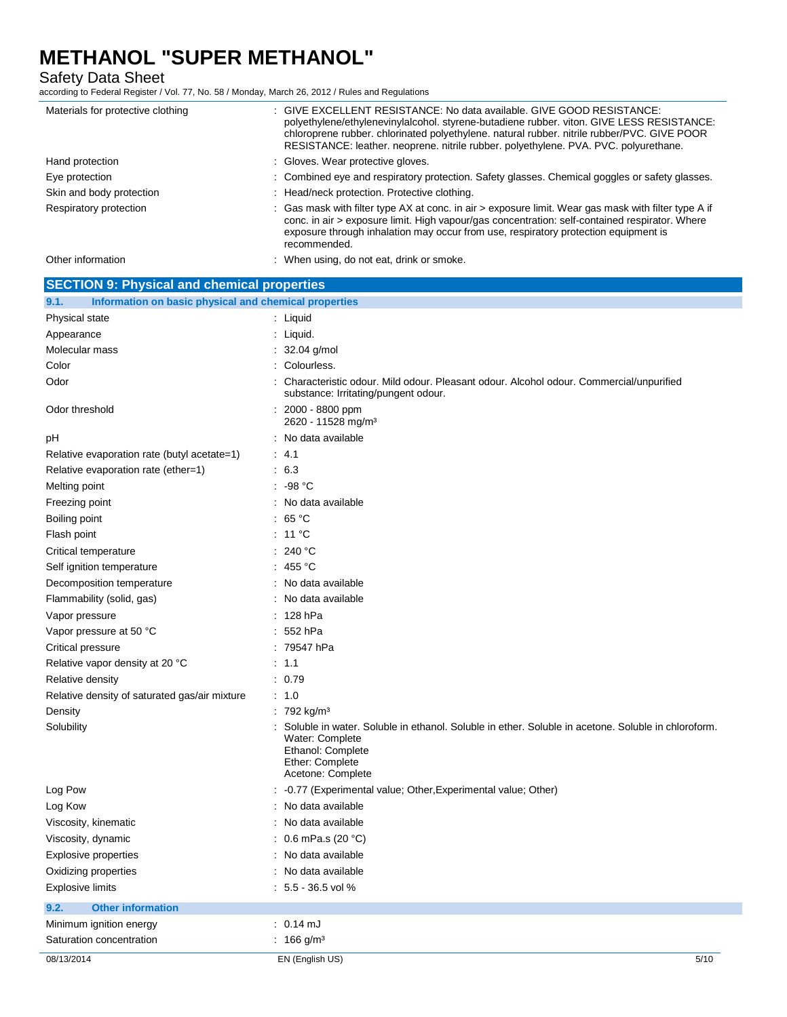Safety Data Sheet

according to Federal Register / Vol. 77, No. 58 / Monday, March 26, 2012 / Rules and Regulations

| Materials for protective clothing                             | : GIVE EXCELLENT RESISTANCE: No data available. GIVE GOOD RESISTANCE:<br>polyethylene/ethylenevinylalcohol. styrene-butadiene rubber. viton. GIVE LESS RESISTANCE:<br>chloroprene rubber, chlorinated polyethylene, natural rubber, nitrile rubber/PVC, GIVE POOR<br>RESISTANCE: leather. neoprene. nitrile rubber. polyethylene. PVA. PVC. polyurethane. |
|---------------------------------------------------------------|-----------------------------------------------------------------------------------------------------------------------------------------------------------------------------------------------------------------------------------------------------------------------------------------------------------------------------------------------------------|
| Hand protection                                               | : Gloves. Wear protective gloves.                                                                                                                                                                                                                                                                                                                         |
| Eye protection                                                | : Combined eye and respiratory protection. Safety glasses. Chemical goggles or safety glasses.                                                                                                                                                                                                                                                            |
| Skin and body protection                                      | : Head/neck protection. Protective clothing.                                                                                                                                                                                                                                                                                                              |
| Respiratory protection                                        | : Gas mask with filter type AX at conc. in air > exposure limit. Wear gas mask with filter type A if<br>conc. in air > exposure limit. High vapour/gas concentration: self-contained respirator. Where<br>exposure through inhalation may occur from use, respiratory protection equipment is<br>recommended.                                             |
| Other information                                             | : When using, do not eat, drink or smoke.                                                                                                                                                                                                                                                                                                                 |
| <b>SECTION 9: Physical and chemical properties</b>            |                                                                                                                                                                                                                                                                                                                                                           |
| Information on basic physical and chemical properties<br>9.1. |                                                                                                                                                                                                                                                                                                                                                           |
| <b>Physical state</b>                                         | : Liquid                                                                                                                                                                                                                                                                                                                                                  |

| Physical state                                | $:$ Liquid                                                                                                                                                                         |
|-----------------------------------------------|------------------------------------------------------------------------------------------------------------------------------------------------------------------------------------|
| Appearance                                    | : Liquid.                                                                                                                                                                          |
| Molecular mass                                | $: 32.04$ g/mol                                                                                                                                                                    |
| Color                                         | : Colourless.                                                                                                                                                                      |
| Odor                                          | Characteristic odour. Mild odour. Pleasant odour. Alcohol odour. Commercial/unpurified<br>substance: Irritating/pungent odour.                                                     |
| Odor threshold                                | $: 2000 - 8800$ ppm<br>2620 - 11528 mg/m <sup>3</sup>                                                                                                                              |
| pH                                            | No data available                                                                                                                                                                  |
| Relative evaporation rate (butyl acetate=1)   | $\therefore$ 4.1                                                                                                                                                                   |
| Relative evaporation rate (ether=1)           | $\therefore$ 6.3                                                                                                                                                                   |
| Melting point                                 | $.98^{\circ}$ C                                                                                                                                                                    |
| Freezing point                                | : No data available                                                                                                                                                                |
| Boiling point                                 | : 65 $^{\circ}$ C                                                                                                                                                                  |
| Flash point                                   | : 11 $^{\circ}$ C                                                                                                                                                                  |
| Critical temperature                          | : 240 °C                                                                                                                                                                           |
| Self ignition temperature                     | : 455 °C                                                                                                                                                                           |
| Decomposition temperature                     | No data available                                                                                                                                                                  |
| Flammability (solid, gas)                     | : No data available                                                                                                                                                                |
| Vapor pressure                                | $: 128$ hPa                                                                                                                                                                        |
| Vapor pressure at 50 °C                       | $: 552$ hPa                                                                                                                                                                        |
| Critical pressure                             | : 79547 hPa                                                                                                                                                                        |
| Relative vapor density at 20 °C               | : 1.1                                                                                                                                                                              |
| Relative density                              | : 0.79                                                                                                                                                                             |
| Relative density of saturated gas/air mixture | : 1.0                                                                                                                                                                              |
| Density                                       | : 792 kg/m <sup>3</sup>                                                                                                                                                            |
| Solubility                                    | Soluble in water. Soluble in ethanol. Soluble in ether. Soluble in acetone. Soluble in chloroform.<br>Water: Complete<br>Ethanol: Complete<br>Ether: Complete<br>Acetone: Complete |
| Log Pow                                       | -0.77 (Experimental value; Other, Experimental value; Other)                                                                                                                       |
| Log Kow                                       | No data available                                                                                                                                                                  |
| Viscosity, kinematic                          | : No data available                                                                                                                                                                |
| Viscosity, dynamic                            | : $0.6$ mPa.s (20 °C)                                                                                                                                                              |
| Explosive properties                          | : No data available                                                                                                                                                                |
| Oxidizing properties                          | No data available                                                                                                                                                                  |
| <b>Explosive limits</b>                       | $: 5.5 - 36.5$ vol %                                                                                                                                                               |
| 9.2.<br><b>Other information</b>              |                                                                                                                                                                                    |
| Minimum ignition energy                       | $: 0.14 \text{ mJ}$                                                                                                                                                                |
| Saturation concentration                      | : $166$ g/m <sup>3</sup>                                                                                                                                                           |
| 08/13/2014                                    | EN (English US)<br>5/10                                                                                                                                                            |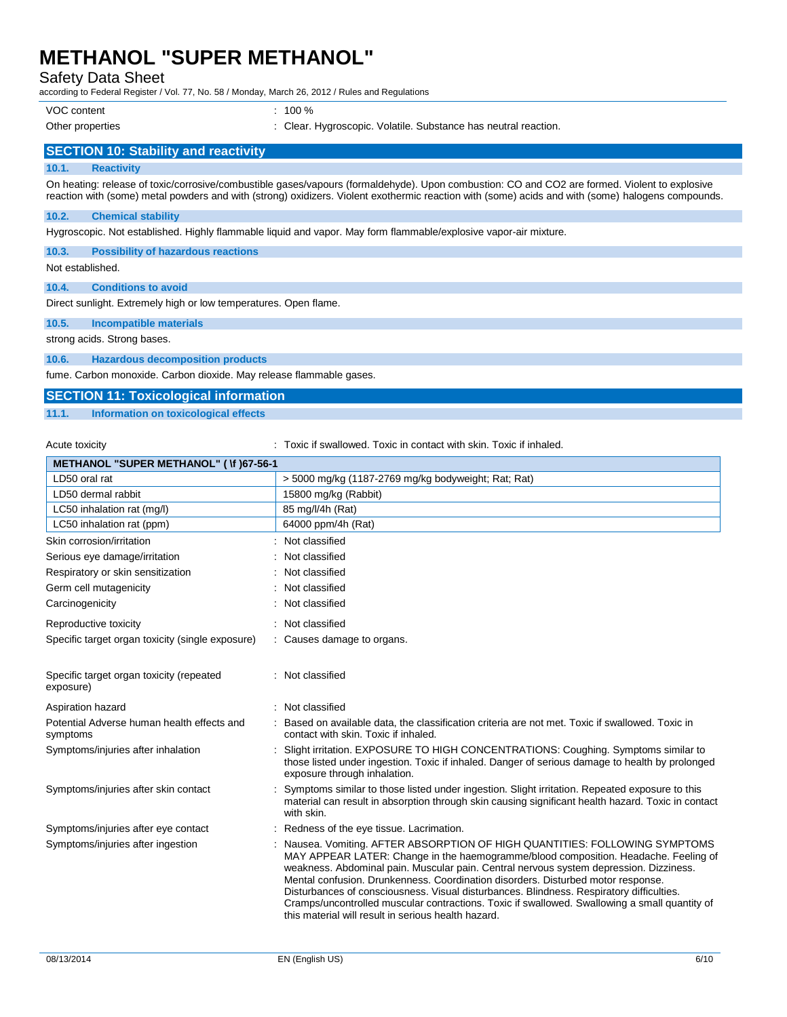Safety Data Sheet

according to Federal Register / Vol. 77, No. 58 / Monday, March 26, 2012 / Rules and Regulations

VOC content : 100 %

Other properties Theorem 2012 : Clear. Hygroscopic. Volatile. Substance has neutral reaction.

### **SECTION 10: Stability and reactivity**

### **10.1. Reactivity**

On heating: release of toxic/corrosive/combustible gases/vapours (formaldehyde). Upon combustion: CO and CO2 are formed. Violent to explosive reaction with (some) metal powders and with (strong) oxidizers. Violent exothermic reaction with (some) acids and with (some) halogens compounds.

#### **10.2. Chemical stability**

Hygroscopic. Not established. Highly flammable liquid and vapor. May form flammable/explosive vapor-air mixture.

### **10.3. Possibility of hazardous reactions**

Not established.

#### **10.4. Conditions to avoid**

Direct sunlight. Extremely high or low temperatures. Open flame.

### **10.5. Incompatible materials**

strong acids. Strong bases.

### **10.6. Hazardous decomposition products**

fume. Carbon monoxide. Carbon dioxide. May release flammable gases.

### **SECTION 11: Toxicological information**

### **11.1. Information on toxicological effects**

Acute toxicity **in the summand of the top in the state of the state of the state of the state of the state of t** 

| <b>METHANOL "SUPER METHANOL" ( \f )67-56-1</b>         |                                                                                                                                                                                                                                                                                                                                                                                                                                                                                                                                                                                                    |
|--------------------------------------------------------|----------------------------------------------------------------------------------------------------------------------------------------------------------------------------------------------------------------------------------------------------------------------------------------------------------------------------------------------------------------------------------------------------------------------------------------------------------------------------------------------------------------------------------------------------------------------------------------------------|
| LD50 oral rat                                          | > 5000 mg/kg (1187-2769 mg/kg bodyweight; Rat; Rat)                                                                                                                                                                                                                                                                                                                                                                                                                                                                                                                                                |
| LD50 dermal rabbit                                     | 15800 mg/kg (Rabbit)                                                                                                                                                                                                                                                                                                                                                                                                                                                                                                                                                                               |
| LC50 inhalation rat (mg/l)                             | 85 mg/l/4h (Rat)                                                                                                                                                                                                                                                                                                                                                                                                                                                                                                                                                                                   |
| LC50 inhalation rat (ppm)                              | 64000 ppm/4h (Rat)                                                                                                                                                                                                                                                                                                                                                                                                                                                                                                                                                                                 |
| Skin corrosion/irritation                              | Not classified                                                                                                                                                                                                                                                                                                                                                                                                                                                                                                                                                                                     |
| Serious eye damage/irritation                          | Not classified                                                                                                                                                                                                                                                                                                                                                                                                                                                                                                                                                                                     |
| Respiratory or skin sensitization                      | Not classified                                                                                                                                                                                                                                                                                                                                                                                                                                                                                                                                                                                     |
| Germ cell mutagenicity                                 | Not classified                                                                                                                                                                                                                                                                                                                                                                                                                                                                                                                                                                                     |
| Carcinogenicity                                        | Not classified                                                                                                                                                                                                                                                                                                                                                                                                                                                                                                                                                                                     |
| Reproductive toxicity                                  | Not classified                                                                                                                                                                                                                                                                                                                                                                                                                                                                                                                                                                                     |
| Specific target organ toxicity (single exposure)       | : Causes damage to organs.                                                                                                                                                                                                                                                                                                                                                                                                                                                                                                                                                                         |
| Specific target organ toxicity (repeated<br>exposure)  | Not classified                                                                                                                                                                                                                                                                                                                                                                                                                                                                                                                                                                                     |
| Aspiration hazard                                      | : Not classified                                                                                                                                                                                                                                                                                                                                                                                                                                                                                                                                                                                   |
| Potential Adverse human health effects and<br>symptoms | Based on available data, the classification criteria are not met. Toxic if swallowed. Toxic in<br>contact with skin. Toxic if inhaled.                                                                                                                                                                                                                                                                                                                                                                                                                                                             |
| Symptoms/injuries after inhalation                     | Slight irritation. EXPOSURE TO HIGH CONCENTRATIONS: Coughing. Symptoms similar to<br>those listed under ingestion. Toxic if inhaled. Danger of serious damage to health by prolonged<br>exposure through inhalation.                                                                                                                                                                                                                                                                                                                                                                               |
| Symptoms/injuries after skin contact                   | Symptoms similar to those listed under ingestion. Slight irritation. Repeated exposure to this<br>material can result in absorption through skin causing significant health hazard. Toxic in contact<br>with skin.                                                                                                                                                                                                                                                                                                                                                                                 |
| Symptoms/injuries after eye contact                    | Redness of the eye tissue. Lacrimation.                                                                                                                                                                                                                                                                                                                                                                                                                                                                                                                                                            |
| Symptoms/injuries after ingestion                      | Nausea. Vomiting. AFTER ABSORPTION OF HIGH QUANTITIES: FOLLOWING SYMPTOMS<br>MAY APPEAR LATER: Change in the haemogramme/blood composition. Headache. Feeling of<br>weakness. Abdominal pain. Muscular pain. Central nervous system depression. Dizziness.<br>Mental confusion. Drunkenness. Coordination disorders. Disturbed motor response.<br>Disturbances of consciousness. Visual disturbances. Blindness. Respiratory difficulties.<br>Cramps/uncontrolled muscular contractions. Toxic if swallowed. Swallowing a small quantity of<br>this material will result in serious health hazard. |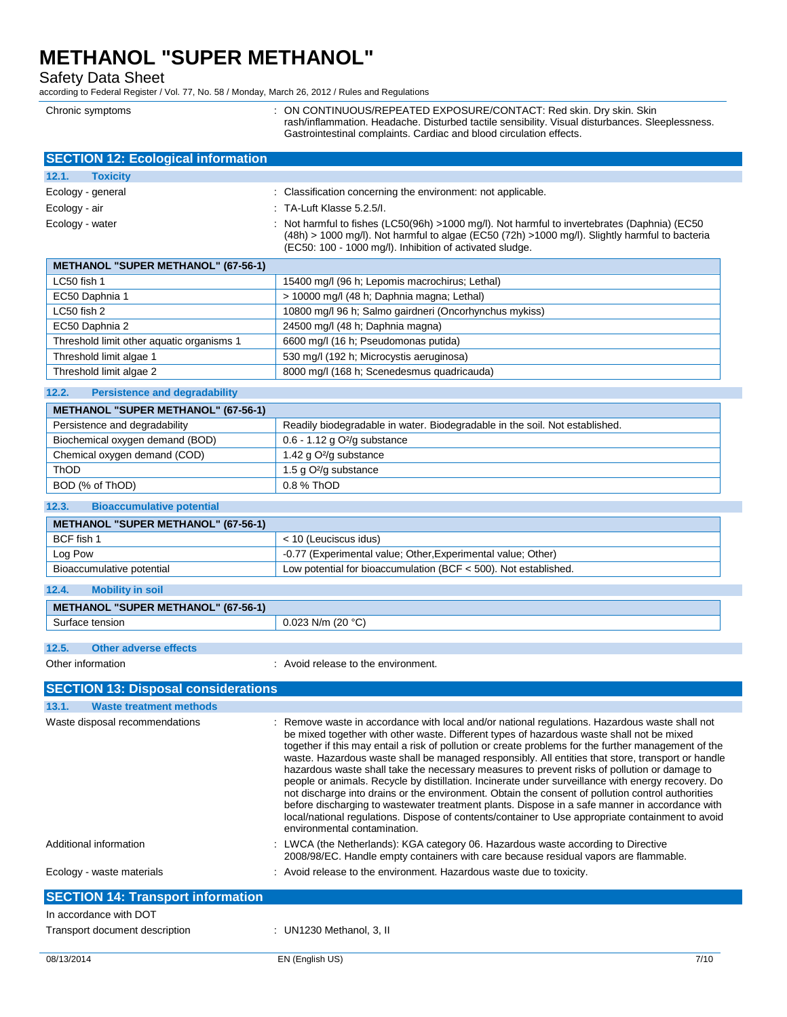Safety Data Sheet

according to Federal Register / Vol. 77, No. 58 / Monday, March 26, 2012 / Rules and Regulations

Chronic symptoms : ON CONTINUOUS/REPEATED EXPOSURE/CONTACT: Red skin. Dry skin. Skin rash/inflammation. Headache. Disturbed tactile sensibility. Visual disturbances. Sleeplessness. Gastrointestinal complaints. Cardiac and blood circulation effects.

| <b>SECTION 12: Ecological information</b> |                                                                                                                                                                                                                                                                |
|-------------------------------------------|----------------------------------------------------------------------------------------------------------------------------------------------------------------------------------------------------------------------------------------------------------------|
| 12.1.<br><b>Toxicity</b>                  |                                                                                                                                                                                                                                                                |
| Ecology - general                         | : Classification concerning the environment: not applicable.                                                                                                                                                                                                   |
| Ecology - air                             | $\therefore$ TA-Luft Klasse 5.2.5/I.                                                                                                                                                                                                                           |
| Ecology - water                           | : Not harmful to fishes (LC50(96h) >1000 mg/l). Not harmful to invertebrates (Daphnia) (EC50<br>$(48h)$ > 1000 mg/l). Not harmful to algae (EC50 $(72h)$ >1000 mg/l). Slightly harmful to bacteria<br>(EC50: 100 - 1000 mg/l). Inhibition of activated sludge. |

| <b>METHANOL "SUPER METHANOL" (67-56-1)</b> |                                                        |
|--------------------------------------------|--------------------------------------------------------|
| LC50 fish 1                                | 15400 mg/l (96 h; Lepomis macrochirus; Lethal)         |
| EC50 Daphnia 1                             | > 10000 mg/l (48 h; Daphnia magna; Lethal)             |
| $LC50$ fish 2                              | 10800 mg/l 96 h; Salmo gairdneri (Oncorhynchus mykiss) |
| EC50 Daphnia 2                             | 24500 mg/l (48 h; Daphnia magna)                       |
| Threshold limit other aquatic organisms 1  | 6600 mg/l (16 h; Pseudomonas putida)                   |
| Threshold limit algae 1                    | 530 mg/l (192 h; Microcystis aeruginosa)               |
| Threshold limit algae 2                    | 8000 mg/l (168 h; Scenedesmus quadricauda)             |

### **12.2. Persistence and degradability**

| <b>METHANOL "SUPER METHANOL" (67-56-1)</b> |                                                                             |
|--------------------------------------------|-----------------------------------------------------------------------------|
| Persistence and degradability              | Readily biodegradable in water. Biodegradable in the soil. Not established. |
| Biochemical oxygen demand (BOD)            | $0.6 - 1.12$ g O <sup>2</sup> /g substance                                  |
| Chemical oxygen demand (COD)               | 1.42 g $O^2$ /g substance                                                   |
| ThOD                                       | 1.5 g $O^2$ /g substance                                                    |
| BOD (% of ThOD)                            | $0.8$ % ThOD                                                                |

### **12.3. Bioaccumulative potential**

| <b>METHANOL "SUPER METHANOL" (67-56-1)</b> |                                                                   |
|--------------------------------------------|-------------------------------------------------------------------|
| BCF fish 1                                 | < 10 (Leuciscus idus)                                             |
| Log Pow                                    | -0.77 (Experimental value; Other, Experimental value; Other)      |
| Bioaccumulative potential                  | Low potential for bioaccumulation (BCF $<$ 500). Not established. |

| 12.4.<br><b>Mobility in soil</b>           |                     |
|--------------------------------------------|---------------------|
| <b>METHANOL "SUPER METHANOL" (67-56-1)</b> |                     |
| Surface tension                            | $0.023$ N/m (20 °C) |
|                                            |                     |

## **12.5. Other adverse effects**

Other information  $\blacksquare$  : Avoid release to the environment.

| <b>SECTION 13: Disposal considerations</b> |                                                                                                                                                                                                                                                                                                                                                                                                                                                                                                                                                                                                                                                                                                                                                                                                                                                                                                                                                            |
|--------------------------------------------|------------------------------------------------------------------------------------------------------------------------------------------------------------------------------------------------------------------------------------------------------------------------------------------------------------------------------------------------------------------------------------------------------------------------------------------------------------------------------------------------------------------------------------------------------------------------------------------------------------------------------------------------------------------------------------------------------------------------------------------------------------------------------------------------------------------------------------------------------------------------------------------------------------------------------------------------------------|
| <b>Waste treatment methods</b><br>13.1.    |                                                                                                                                                                                                                                                                                                                                                                                                                                                                                                                                                                                                                                                                                                                                                                                                                                                                                                                                                            |
| Waste disposal recommendations             | : Remove waste in accordance with local and/or national regulations. Hazardous waste shall not<br>be mixed together with other waste. Different types of hazardous waste shall not be mixed<br>together if this may entail a risk of pollution or create problems for the further management of the<br>waste. Hazardous waste shall be managed responsibly. All entities that store, transport or handle<br>hazardous waste shall take the necessary measures to prevent risks of pollution or damage to<br>people or animals. Recycle by distillation. Incinerate under surveillance with energy recovery. Do<br>not discharge into drains or the environment. Obtain the consent of pollution control authorities<br>before discharging to wastewater treatment plants. Dispose in a safe manner in accordance with<br>local/national regulations. Dispose of contents/container to Use appropriate containment to avoid<br>environmental contamination. |
| Additional information                     | : LWCA (the Netherlands): KGA category 06. Hazardous waste according to Directive<br>2008/98/EC. Handle empty containers with care because residual vapors are flammable.                                                                                                                                                                                                                                                                                                                                                                                                                                                                                                                                                                                                                                                                                                                                                                                  |
| Ecology - waste materials                  | : Avoid release to the environment. Hazardous waste due to toxicity.                                                                                                                                                                                                                                                                                                                                                                                                                                                                                                                                                                                                                                                                                                                                                                                                                                                                                       |
| <b>SECTION 14: Transport information</b>   |                                                                                                                                                                                                                                                                                                                                                                                                                                                                                                                                                                                                                                                                                                                                                                                                                                                                                                                                                            |
| In accordance with DOT                     |                                                                                                                                                                                                                                                                                                                                                                                                                                                                                                                                                                                                                                                                                                                                                                                                                                                                                                                                                            |
| Transport document description             | : UN1230 Methanol, 3, II                                                                                                                                                                                                                                                                                                                                                                                                                                                                                                                                                                                                                                                                                                                                                                                                                                                                                                                                   |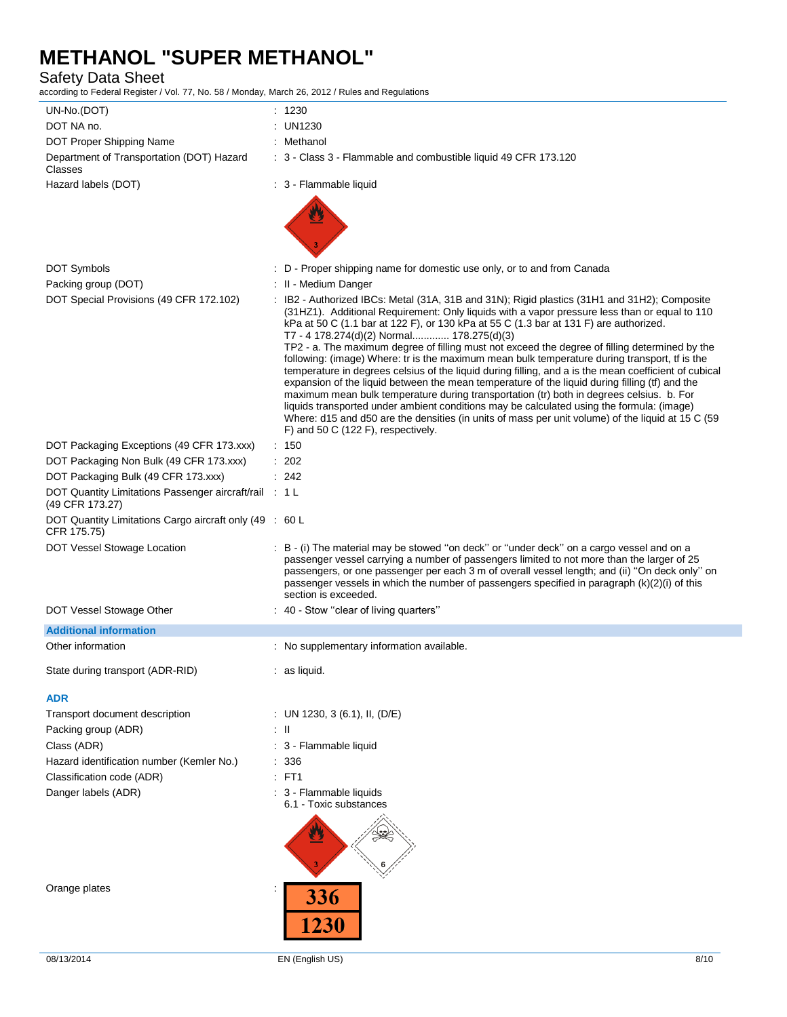### Safety Data Sheet

according to Federal Register / Vol. 77, No. 58 / Monday, March 26, 2012 / Rules and Regulations

| UN-No.(DOT)                                                               | : 1230       |                                                                                                                                                                                                                                                                                                                                                                                                                                                                                                                                                                                                                                                                                                                                                                                                                                                                                                                                                                                                                                                                                       |
|---------------------------------------------------------------------------|--------------|---------------------------------------------------------------------------------------------------------------------------------------------------------------------------------------------------------------------------------------------------------------------------------------------------------------------------------------------------------------------------------------------------------------------------------------------------------------------------------------------------------------------------------------------------------------------------------------------------------------------------------------------------------------------------------------------------------------------------------------------------------------------------------------------------------------------------------------------------------------------------------------------------------------------------------------------------------------------------------------------------------------------------------------------------------------------------------------|
| DOT NA no.                                                                | : UN1230     |                                                                                                                                                                                                                                                                                                                                                                                                                                                                                                                                                                                                                                                                                                                                                                                                                                                                                                                                                                                                                                                                                       |
| DOT Proper Shipping Name                                                  | : Methanol   |                                                                                                                                                                                                                                                                                                                                                                                                                                                                                                                                                                                                                                                                                                                                                                                                                                                                                                                                                                                                                                                                                       |
| Department of Transportation (DOT) Hazard<br>Classes                      |              | : 3 - Class 3 - Flammable and combustible liquid 49 CFR 173.120                                                                                                                                                                                                                                                                                                                                                                                                                                                                                                                                                                                                                                                                                                                                                                                                                                                                                                                                                                                                                       |
| Hazard labels (DOT)                                                       |              | : 3 - Flammable liquid                                                                                                                                                                                                                                                                                                                                                                                                                                                                                                                                                                                                                                                                                                                                                                                                                                                                                                                                                                                                                                                                |
|                                                                           |              |                                                                                                                                                                                                                                                                                                                                                                                                                                                                                                                                                                                                                                                                                                                                                                                                                                                                                                                                                                                                                                                                                       |
| <b>DOT Symbols</b>                                                        |              | : D - Proper shipping name for domestic use only, or to and from Canada                                                                                                                                                                                                                                                                                                                                                                                                                                                                                                                                                                                                                                                                                                                                                                                                                                                                                                                                                                                                               |
| Packing group (DOT)                                                       |              | : II - Medium Danger                                                                                                                                                                                                                                                                                                                                                                                                                                                                                                                                                                                                                                                                                                                                                                                                                                                                                                                                                                                                                                                                  |
| DOT Special Provisions (49 CFR 172.102)                                   |              | : IB2 - Authorized IBCs: Metal (31A, 31B and 31N); Rigid plastics (31H1 and 31H2); Composite<br>(31HZ1). Additional Requirement: Only liquids with a vapor pressure less than or equal to 110<br>kPa at 50 C (1.1 bar at 122 F), or 130 kPa at 55 C (1.3 bar at 131 F) are authorized.<br>T7 - 4 178.274(d)(2) Normal 178.275(d)(3)<br>TP2 - a. The maximum degree of filling must not exceed the degree of filling determined by the<br>following: (image) Where: tr is the maximum mean bulk temperature during transport, tf is the<br>temperature in degrees celsius of the liquid during filling, and a is the mean coefficient of cubical<br>expansion of the liquid between the mean temperature of the liquid during filling (tf) and the<br>maximum mean bulk temperature during transportation (tr) both in degrees celsius. b. For<br>liquids transported under ambient conditions may be calculated using the formula: (image)<br>Where: d15 and d50 are the densities (in units of mass per unit volume) of the liquid at 15 C (59<br>F) and 50 C (122 F), respectively. |
| DOT Packaging Exceptions (49 CFR 173.xxx)                                 | : 150        |                                                                                                                                                                                                                                                                                                                                                                                                                                                                                                                                                                                                                                                                                                                                                                                                                                                                                                                                                                                                                                                                                       |
| DOT Packaging Non Bulk (49 CFR 173.xxx)                                   | : 202        |                                                                                                                                                                                                                                                                                                                                                                                                                                                                                                                                                                                                                                                                                                                                                                                                                                                                                                                                                                                                                                                                                       |
| DOT Packaging Bulk (49 CFR 173.xxx)                                       | : 242        |                                                                                                                                                                                                                                                                                                                                                                                                                                                                                                                                                                                                                                                                                                                                                                                                                                                                                                                                                                                                                                                                                       |
| DOT Quantity Limitations Passenger aircraft/rail : 1 L<br>(49 CFR 173.27) |              |                                                                                                                                                                                                                                                                                                                                                                                                                                                                                                                                                                                                                                                                                                                                                                                                                                                                                                                                                                                                                                                                                       |
| DOT Quantity Limitations Cargo aircraft only (49 : 60 L<br>CFR 175.75)    |              |                                                                                                                                                                                                                                                                                                                                                                                                                                                                                                                                                                                                                                                                                                                                                                                                                                                                                                                                                                                                                                                                                       |
| DOT Vessel Stowage Location                                               |              | : B - (i) The material may be stowed "on deck" or "under deck" on a cargo vessel and on a<br>passenger vessel carrying a number of passengers limited to not more than the larger of 25<br>passengers, or one passenger per each 3 m of overall vessel length; and (ii) "On deck only" on<br>passenger vessels in which the number of passengers specified in paragraph (k)(2)(i) of this<br>section is exceeded.                                                                                                                                                                                                                                                                                                                                                                                                                                                                                                                                                                                                                                                                     |
| DOT Vessel Stowage Other                                                  |              | : 40 - Stow "clear of living quarters"                                                                                                                                                                                                                                                                                                                                                                                                                                                                                                                                                                                                                                                                                                                                                                                                                                                                                                                                                                                                                                                |
| <b>Additional information</b>                                             |              |                                                                                                                                                                                                                                                                                                                                                                                                                                                                                                                                                                                                                                                                                                                                                                                                                                                                                                                                                                                                                                                                                       |
| Other information                                                         |              | : No supplementary information available.                                                                                                                                                                                                                                                                                                                                                                                                                                                                                                                                                                                                                                                                                                                                                                                                                                                                                                                                                                                                                                             |
| State during transport (ADR-RID)                                          | : as liquid. |                                                                                                                                                                                                                                                                                                                                                                                                                                                                                                                                                                                                                                                                                                                                                                                                                                                                                                                                                                                                                                                                                       |
| <b>ADR</b>                                                                |              |                                                                                                                                                                                                                                                                                                                                                                                                                                                                                                                                                                                                                                                                                                                                                                                                                                                                                                                                                                                                                                                                                       |
| Transport document description                                            |              | : UN 1230, 3 (6.1), II, (D/E)                                                                                                                                                                                                                                                                                                                                                                                                                                                                                                                                                                                                                                                                                                                                                                                                                                                                                                                                                                                                                                                         |
| Packing group (ADR)                                                       | : II         |                                                                                                                                                                                                                                                                                                                                                                                                                                                                                                                                                                                                                                                                                                                                                                                                                                                                                                                                                                                                                                                                                       |
| Class (ADR)                                                               |              | : 3 - Flammable liquid                                                                                                                                                                                                                                                                                                                                                                                                                                                                                                                                                                                                                                                                                                                                                                                                                                                                                                                                                                                                                                                                |
| Hazard identification number (Kemler No.)                                 | : 336        |                                                                                                                                                                                                                                                                                                                                                                                                                                                                                                                                                                                                                                                                                                                                                                                                                                                                                                                                                                                                                                                                                       |
| Classification code (ADR)                                                 | $:$ FT1      |                                                                                                                                                                                                                                                                                                                                                                                                                                                                                                                                                                                                                                                                                                                                                                                                                                                                                                                                                                                                                                                                                       |
| Danger labels (ADR)                                                       |              | : 3 - Flammable liquids<br>6.1 - Toxic substances                                                                                                                                                                                                                                                                                                                                                                                                                                                                                                                                                                                                                                                                                                                                                                                                                                                                                                                                                                                                                                     |
| Orange plates                                                             | 336<br>1230  |                                                                                                                                                                                                                                                                                                                                                                                                                                                                                                                                                                                                                                                                                                                                                                                                                                                                                                                                                                                                                                                                                       |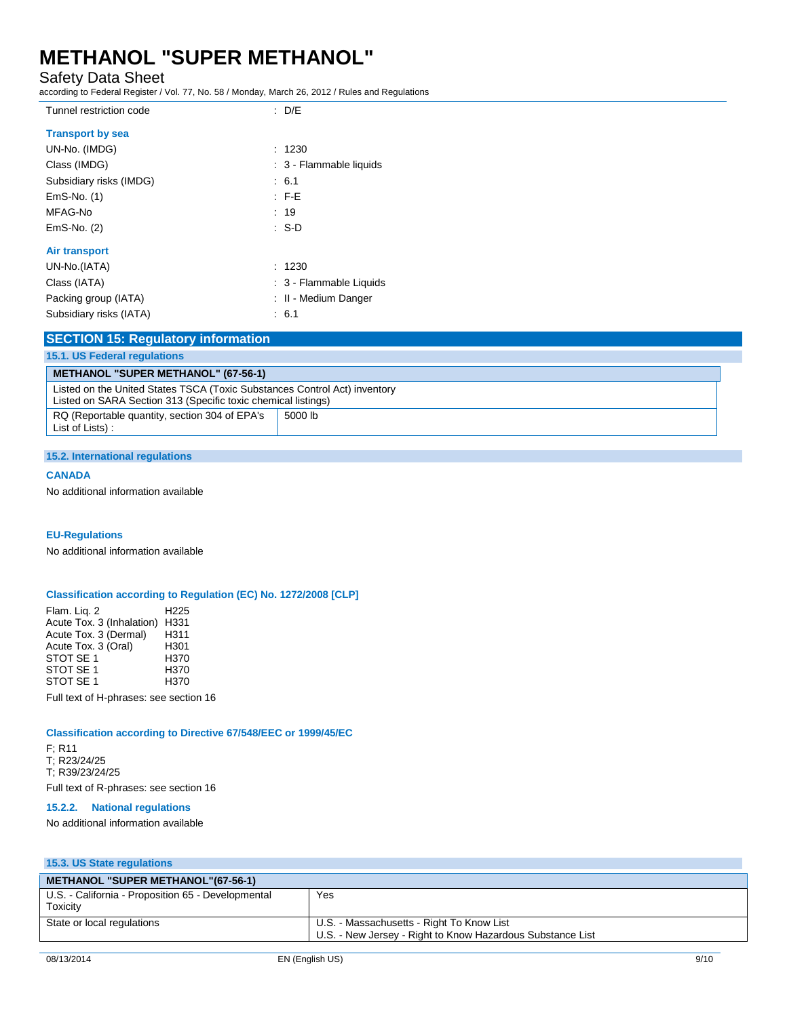Tunnel restriction code : D/E

Safety Data Sheet

according to Federal Register / Vol. 77, No. 58 / Monday, March 26, 2012 / Rules and Regulations

| <b>Transport by sea</b> |                         |
|-------------------------|-------------------------|
| UN-No. (IMDG)           | : 1230                  |
| Class (IMDG)            | : 3 - Flammable liquids |
| Subsidiary risks (IMDG) | : 6.1                   |
| $EmS-No.$ (1)           | $\pm$ F-E               |
| MFAG-No                 | : 19                    |
| $EmS-No.$ (2)           | : S-D                   |
| <b>Air transport</b>    |                         |
| UN-No.(IATA)            | : 1230                  |
| Class (IATA)            | : 3 - Flammable Liquids |
| Packing group (IATA)    | : II - Medium Danger    |
| Subsidiary risks (IATA) | : 6.1                   |

| <b>SECTION 15: Regulatory information</b> |  |  |
|-------------------------------------------|--|--|
|                                           |  |  |

| <b>15.1. US Federal regulations</b>                                                                                                        |  |
|--------------------------------------------------------------------------------------------------------------------------------------------|--|
| <b>METHANOL "SUPER METHANOL" (67-56-1)</b>                                                                                                 |  |
| Listed on the United States TSCA (Toxic Substances Control Act) inventory<br>Listed on SARA Section 313 (Specific toxic chemical listings) |  |
| RQ (Reportable quantity, section 304 of EPA's<br>5000 lb<br>List of Lists):                                                                |  |

#### **15.2. International regulations**

### **CANADA**

No additional information available

#### **EU-Regulations**

No additional information available

### **Classification according to Regulation (EC) No. 1272/2008 [CLP]**

Flam. Liq. 2 H225 Acute Tox. 3 (Inhalation) H331<br>Acute Tox. 3 (Dermal) H311 Acute Tox. 3 (Dermal) H311<br>Acute Tox. 3 (Oral) H301 Acute Tox. 3 (Oral) H301<br>STOT SE 1 H370 STOT SE 1  $\overline{10}$  H370<br>STOT SE 1 H370 STOT SE 1 H370<br>STOT SE 1 H370 STOT SE 1

Full text of H-phrases: see section 16

### **Classification according to Directive 67/548/EEC or 1999/45/EC**

F; R11 T; R23/24/25 T; R39/23/24/25 Full text of R-phrases: see section 16

### **15.2.2. National regulations**

No additional information available

### **15.3. US State regulations**

| <b>METHANOL "SUPER METHANOL"(67-56-1)</b>                      |                                                                                                         |
|----------------------------------------------------------------|---------------------------------------------------------------------------------------------------------|
| U.S. - California - Proposition 65 - Developmental<br>Toxicity | Yes                                                                                                     |
| State or local regulations                                     | U.S. - Massachusetts - Right To Know List<br>U.S. - New Jersey - Right to Know Hazardous Substance List |